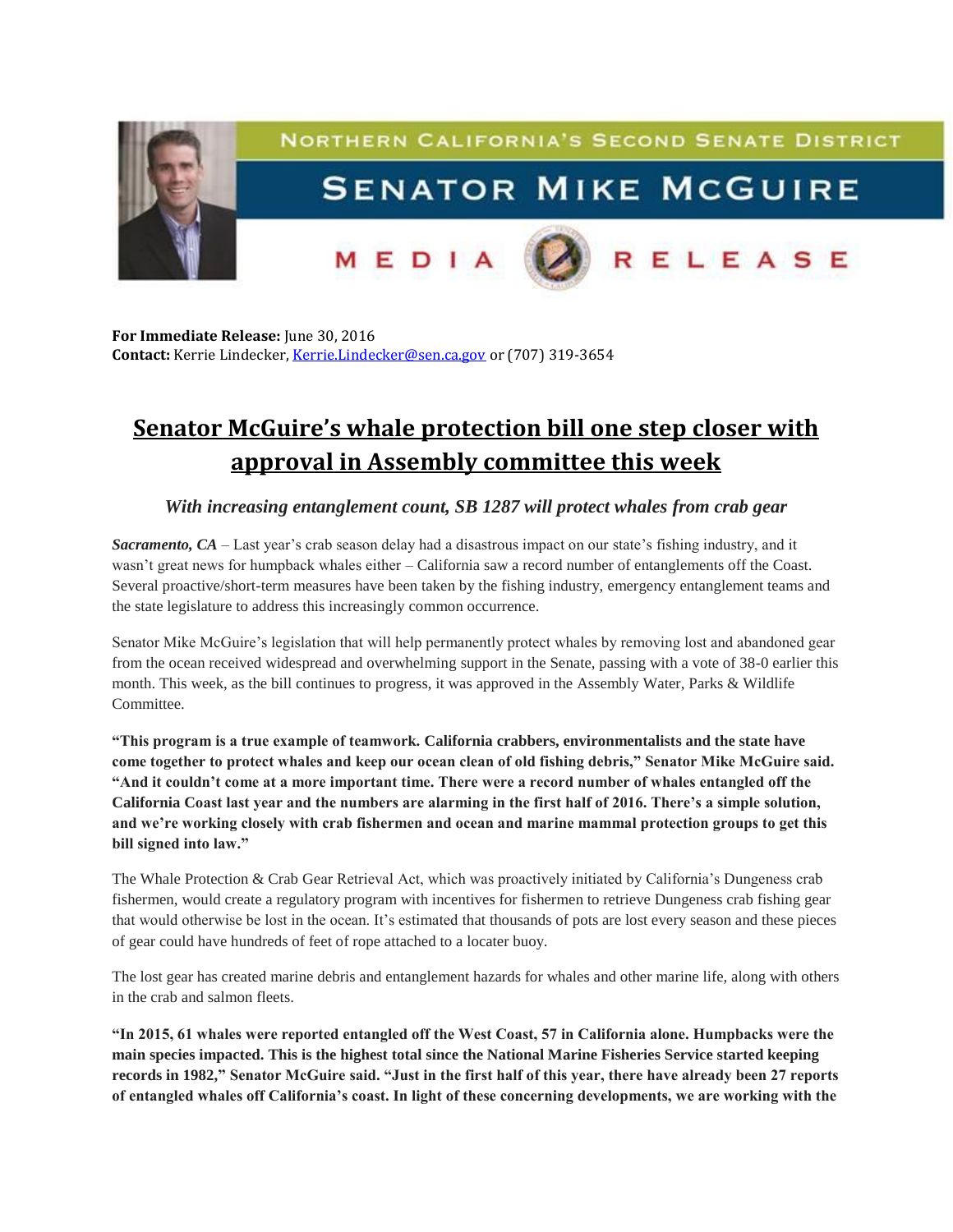

**For Immediate Release:** June 30, 2016 **Contact:** Kerrie Lindecker, [Kerrie.Lindecker@sen.ca.gov](mailto:Kerrie.Lindecker@sen.ca.gov) or (707) 319-3654

## **Senator McGuire's whale protection bill one step closer with approval in Assembly committee this week**

## *With increasing entanglement count, SB 1287 will protect whales from crab gear*

*Sacramento, CA* – Last year's crab season delay had a disastrous impact on our state's fishing industry, and it wasn't great news for humpback whales either – California saw a record number of entanglements off the Coast. Several proactive/short-term measures have been taken by the fishing industry, emergency entanglement teams and the state legislature to address this increasingly common occurrence.

Senator Mike McGuire's legislation that will help permanently protect whales by removing lost and abandoned gear from the ocean received widespread and overwhelming support in the Senate, passing with a vote of 38-0 earlier this month. This week, as the bill continues to progress, it was approved in the Assembly Water, Parks & Wildlife Committee.

**"This program is a true example of teamwork. California crabbers, environmentalists and the state have come together to protect whales and keep our ocean clean of old fishing debris," Senator Mike McGuire said. "And it couldn't come at a more important time. There were a record number of whales entangled off the California Coast last year and the numbers are alarming in the first half of 2016. There's a simple solution, and we're working closely with crab fishermen and ocean and marine mammal protection groups to get this bill signed into law."** 

The Whale Protection & Crab Gear Retrieval Act, which was proactively initiated by California's Dungeness crab fishermen, would create a regulatory program with incentives for fishermen to retrieve Dungeness crab fishing gear that would otherwise be lost in the ocean. It's estimated that thousands of pots are lost every season and these pieces of gear could have hundreds of feet of rope attached to a locater buoy.

The lost gear has created marine debris and entanglement hazards for whales and other marine life, along with others in the crab and salmon fleets.

**"In 2015, 61 whales were reported entangled off the West Coast, 57 in California alone. Humpbacks were the main species impacted. This is the highest total since the National Marine Fisheries Service started keeping records in 1982," Senator McGuire said. "Just in the first half of this year, there have already been 27 reports of entangled whales off California's coast. In light of these concerning developments, we are working with the**